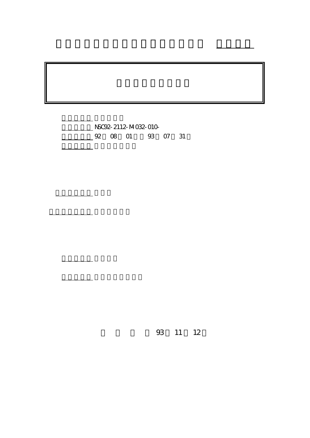$MSC92 - 2112 - MO32 - O10 -$ 4 92 08 01 93 07 31

計畫主持人: 曹慶堂

計畫參與人員: 高志坤博士後

。<br>在前書 : 本計畫可公開查

行政院國家科學委員會專題研究計畫 成果報告

93 11 12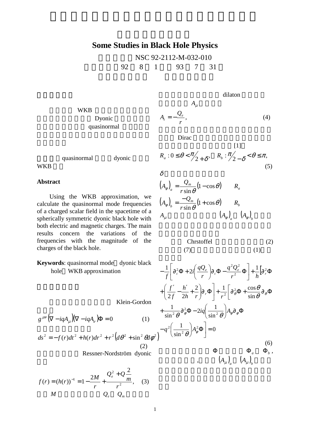## **Some Studies in Black Hole Physics**

NSC 92-2112-M-032-010 執行期限:92 8 1 日至 93 7 31 日

dilaton

 $[1]$ 

(5)

 $A_t = -\frac{Q_e}{r},$  (4)

WKB Dyonic quasinormal

quasinormal dyonic

**WKB** 

## **Abstract**

 Using the WKB approximation, we calculate the quasinormal mode frequencies of a charged scalar field in the spacetime of a spherically symmetric dyonic black hole with both electric and magnetic charges. The main results concern the variations of the frequencies with the magnitude of the charges of the black hole.

**Keywords**: quasinormal mode dyonic black hole WKB approximation

Klein-Gordon

 $g^{\mu\nu} (\nabla - iqA_{\mu}) (\nabla - iqA_{\nu}) \Phi = 0$  (1)

$$
ds^{2} = -f(r)dt^{2} + h(r)dr^{2} + r^{2}(d\theta^{2} + \sin^{2}\theta d\phi^{2})
$$
\n(2)  
\nRessner-Nordström dyonic

$$
f(r) = (h(r))^{-1} = 1 - \frac{2M}{r} + \frac{Q_e^2 + Q\frac{2}{m}}{r^2},
$$
 (3)  
M  $Q_e$   $Q_m$ 

 $R_a : 0 \leq \theta < \frac{\pi}{2+\delta}, \quad R_b : \frac{\pi}{2-\delta} < \theta \leq \pi,$  $\delta$ 

 $A_{\mu}$ 

Dirac

$$
\left(A_{\phi}\right)_{a} = \frac{Q_{m}}{r \sin \theta} (1 - \cos \theta) \qquad R_{a}
$$
\n
$$
\left(A_{\phi}\right)_{b} = \frac{-Q_{m}}{r \sin \theta} (1 + \cos \theta) \qquad R_{b}
$$
\n
$$
A_{\mu} \qquad \qquad \left(A_{\phi}\right)_{a} \left(A_{\phi}\right)_{b}
$$

$$
\begin{array}{ll}\n\text{Christoffel} & (2) \\
(7) & (1) & \n\end{array}
$$

$$
-\frac{1}{f}\left[\partial_{t}^{2}\Phi+2i\left(\frac{qQ_{e}}{r}\right)\partial_{t}\Phi-\frac{q^{2}Q_{e}^{2}}{r^{2}}\Phi\right]+\frac{1}{h}\left[\partial_{r}^{2}\Phi+\left(\frac{f'}{2f}-\frac{h'}{2h}+\frac{2}{r}\right)\partial_{r}\Phi\right]+\frac{1}{r^{2}}\left[\partial_{\theta}^{2}\Phi+\frac{\cos\theta}{\sin\theta}\partial_{\theta}\Phi+\frac{1}{\sin^{2}\theta}\partial_{\theta}^{2}\Phi-2iq\left(\frac{1}{\sin^{2}\theta}\right)A_{\theta}\partial_{\phi}\Phi\right]+\frac{1}{\sin^{2}\theta}\partial_{\theta}^{2}\Phi-2iq\left(\frac{1}{\sin^{2}\theta}\right)A_{\theta}\partial_{\phi}\Phi
$$
\n
$$
-q^{2}\left(\frac{1}{\sin^{2}\theta}\right)A_{\theta}^{2}\Phi=0
$$
\n
$$
\Phi\Phi_{a}\Phi_{b},
$$
\n
$$
(6)
$$
\n
$$
\Phi_{a}\Phi_{a}\Phi_{b},
$$

$$
1\\
$$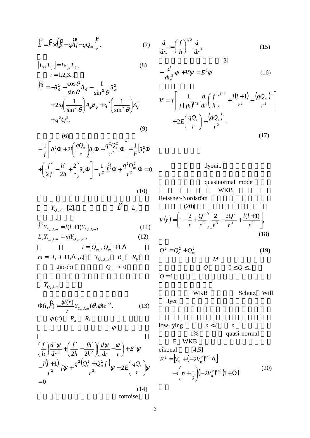$$
\hat{L} = \hat{F} \times (\hat{p} - q\hat{A}) - qQ_m \frac{\hat{F}}{r},
$$
\n(7)

$$
[L_i, L_j] = i\varepsilon_{ijk} L_k,
$$
  
\n $i = 1, 2, 3,$  (8)

$$
\hat{L}^2 = -\partial_{\theta}^2 - \frac{\cos\theta}{\sin\theta} \partial_{\theta} - \frac{1}{\sin^2\theta} \partial_{\phi}^2
$$
  
+ 
$$
2iq \left(\frac{1}{\sin^2\theta}\right) A_{\phi} \partial_{\phi} + q^2 \left(\frac{1}{\sin^2\theta}\right) A_{\phi}^2
$$
  
+ 
$$
q^2 Q_m^2.
$$
 (9)

(6)  
\n
$$
-\frac{1}{f}\left[\partial_{t}^{2}\Phi+2i\left(\frac{qQ_{e}}{r}\right)\partial_{t}\Phi-\frac{q^{2}Q_{e}^{2}}{r^{2}}\Phi\right]+\frac{1}{h}\left[\partial_{r}^{2}\Phi\right]
$$
\n
$$
+\left(\frac{f'}{2f}-\frac{h'}{2h}+\frac{2}{r}\right)\partial_{r}\Phi\right]-\frac{1}{r^{2}}\hat{L}^{2}\Phi+\frac{q^{2}Q_{m}^{2}}{r^{2}}\Phi=0.
$$

 $\sum_{l=1}^{n} Y_{Q_m, l, m} = l(l+1)Y_{Q_m, l, m},$  (11)

 $L_z Y_{Q_m, l, m} = m Y_{Q_m, l, m}$ , (12)

 $m = -l, -l + 1, \Lambda, l.$  *Y*<sub>Qm,*l*,*m*</sub> *R<sub>a</sub> R<sub>b</sub>* Jacobi  $Q_m \to 0$ 

 $l = |Q_m|, |Q_m| + 1, \Lambda$ 

$$
\frac{d}{dr_*} = \left(\frac{f}{h}\right)^{1/2} \frac{d}{dr},
$$
\n(15)

$$
-\frac{d}{dr_*^2}\psi + V\psi = E^2\psi
$$
 (16)

$$
V = f \left[ \frac{1}{f (fh)^{1/2}} \frac{d}{dr} \left( \frac{f}{h} \right)^{1/2} + \frac{l(l+1)}{r^2} - \frac{(qQ_m)^2}{r^2} \right] + 2E \left( \frac{qQ_e}{r} \right) - \frac{(qQ_e)^2}{r^2}.
$$
\n(17)

dyonic

## quasinormal mode WKB

Reissner-Nordsröm  
\n(20)  
\n
$$
V(r) = \left(1 - \frac{2}{r} + \frac{Q^2}{r^2}\right) \left[\frac{2}{r^3} - \frac{2Q^2}{r^4} + \frac{l(l+1)}{r^2}\right],
$$
\n(18)

$$
Q^{2} = Q_{e}^{2} + Q_{m}^{2}.
$$
\n
$$
Q
$$
\n
$$
Q = 1
$$
\n(19)\n
$$
Q = 0 \le Q \le 1
$$

我們採用的 WKB 近似是由 Schutz Will Iyer 發展出來的。這套分析方法已經擴

low-lying 
$$
n < l
$$
 *n*  
\n1% quasi-normal  
\nE WKB  
\neikonal [4,5]  
\n
$$
E^2 = [V_0 + (-2V_0'')^{1/2} \Lambda]
$$
\n
$$
-i\left(n + \frac{1}{2}\right)(-2V_0'')^{1/2}(1+\Omega)
$$
\n(20)

$$
Y_{Q_m,l,m}
$$

 $Y_{Q_m, l, m}$  [2],

 $\lambda$ 

$$
\Phi(t, \hat{r}) = \frac{\psi(r)}{r} Y_{Q_m, l, m}(\theta, \phi) e^{iEt}.
$$
\n
$$
\psi(r) = R_a - R_b
$$
\n
$$
\psi
$$
\n(13)

$$
\left(\frac{f}{h}\right)\frac{d^2\psi}{dr^2} + \left(\frac{f'}{2h} - \frac{fh'}{2h^2}\right)\left(\frac{d\psi}{dr} - \frac{\psi}{r}\right) + E^2\psi
$$

$$
-\frac{l(l+1)}{r^2}f\psi + \frac{q^2(Q_e^2 + Q_m^2f)}{r^2}\psi - 2E\left(\frac{qQ_e}{r}\right)\psi
$$

$$
= 0
$$
\n(14)

tortoise

(10)

 $\mathcal{L}^2$   $L_z$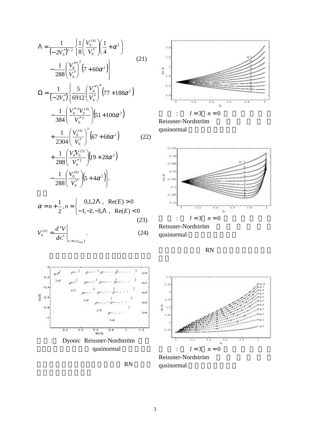$$
\Lambda = \frac{1}{(-2V_0'')^{1/2}} \left\{ \frac{1}{8} \left( \frac{V_0^{(4)}}{V_0''} \right) \left( \frac{1}{4} + \alpha^2 \right) - \frac{1}{288} \left( \frac{V_0'''}{V_0''} \right)^2 \left( 7 + 60\alpha^2 \right) \right\}
$$
\n
$$
\Omega = \frac{1}{(-2V_0'')} \left\{ \frac{5}{6912} \left( \frac{V_0'''}{V_0''} \right)^4 \left( 77 + 188\alpha^2 \right) - \frac{1}{384} \left( \frac{V_0''''^2 V_0^{(4)}}{V_0''^3} \right) \left( 51 + 100\alpha^2 \right) + \frac{1}{2304} \left( \frac{V_0^{(4)}}{V_0''} \right)^2 \left( 67 + 68\alpha^2 \right) \qquad (22)
$$
\n
$$
+ \frac{1}{288} \left( \frac{V_0'' V_0^{(5)}}{V_0''^2} \right) \left( 19 + 28\alpha^2 \right) - \frac{1}{288} \left( \frac{V_0^{(6)}}{V_0''} \right) \left( 5 + 4\alpha^2 \right) \right\}.
$$

$$
\alpha = n + \frac{1}{2}, n = \begin{cases} 0,1,2\Lambda, & \text{Re}(E) > 0 \\ -1,-2,-3,\Lambda, & \text{Re}(E) < 0 \end{cases}
$$
(23)

$$
V_0^{(n)} = \frac{d^n V}{dr_*^n}\Big|_{r_* = r_*(r_{\text{max}})}.
$$
\n(24)







Reissner-Nordström qusinormal



Reissner-Nordström qusinormal

對於帶有磁荷的 RN 黑洞,結果在圖四和



Reissner-Nordström qusinormal